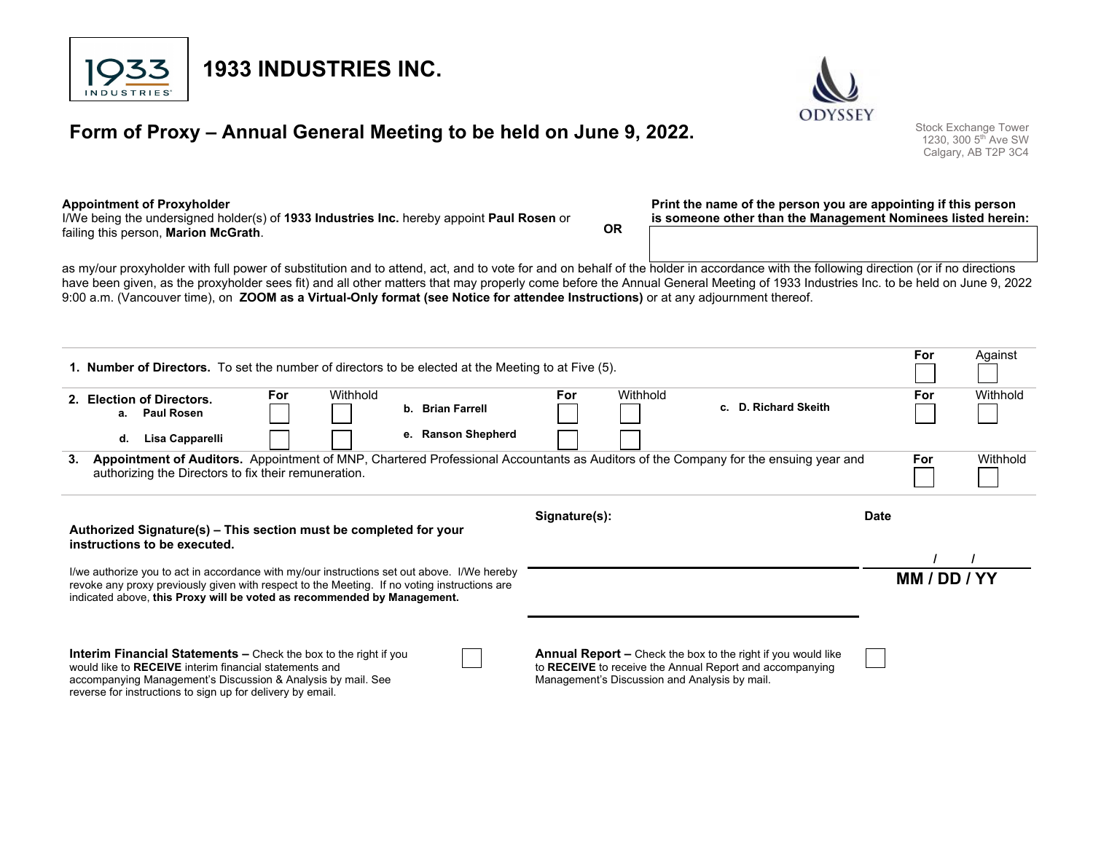

# **Form of Proxy – Annual General Meeting to be held on June 9, 2022.** Stock Exchange Tower 1230, 300 5th Ave SW



Calgary, AB T2P 3C4

#### **Appointment of Proxyholder**

I/We being the undersigned holder(s) of **1933 Industries Inc.** hereby appoint **Paul Rosen** or failing this person, **Marion McGrath**. **OR** 

**1933 INDUSTRIES INC.** 

#### **Print the name of the person you are appointing if this person is someone other than the Management Nominees listed herein:**

as my/our proxyholder with full power of substitution and to attend, act, and to vote for and on behalf of the holder in accordance with the following direction (or if no directions have been given, as the proxyholder sees fit) and all other matters that may properly come before the Annual General Meeting of 1933 Industries Inc. to be held on June 9, 2022 9:00 a.m. (Vancouver time), on **ZOOM as a Virtual-Only format (see Notice for attendee Instructions)** or at any adjournment thereof.

| <b>1. Number of Directors.</b> To set the number of directors to be elected at the Meeting to at Five (5).                                                                                                                                                             |                                                                                                                                     |                    |     |                                               |                                                                                                                                 |  | For          | Against  |  |
|------------------------------------------------------------------------------------------------------------------------------------------------------------------------------------------------------------------------------------------------------------------------|-------------------------------------------------------------------------------------------------------------------------------------|--------------------|-----|-----------------------------------------------|---------------------------------------------------------------------------------------------------------------------------------|--|--------------|----------|--|
| 2. Election of Directors.<br>a. Paul Rosen                                                                                                                                                                                                                             | For<br>Withhold                                                                                                                     | b. Brian Farrell   | For | Withhold                                      | c. D. Richard Skeith                                                                                                            |  | For          | Withhold |  |
| Lisa Capparelli<br>d.                                                                                                                                                                                                                                                  |                                                                                                                                     | e. Ranson Shepherd |     |                                               |                                                                                                                                 |  |              |          |  |
| 3.<br>authorizing the Directors to fix their remuneration.                                                                                                                                                                                                             | Appointment of Auditors. Appointment of MNP, Chartered Professional Accountants as Auditors of the Company for the ensuing year and |                    |     |                                               |                                                                                                                                 |  | <b>For</b>   | Withhold |  |
| Signature(s):<br><b>Date</b><br>Authorized Signature(s) – This section must be completed for your                                                                                                                                                                      |                                                                                                                                     |                    |     |                                               |                                                                                                                                 |  |              |          |  |
| instructions to be executed.                                                                                                                                                                                                                                           |                                                                                                                                     |                    |     |                                               |                                                                                                                                 |  |              |          |  |
| I/we authorize you to act in accordance with my/our instructions set out above. I/We hereby<br>revoke any proxy previously given with respect to the Meeting. If no voting instructions are<br>indicated above, this Proxy will be voted as recommended by Management. |                                                                                                                                     |                    |     |                                               |                                                                                                                                 |  | MM / DD / YY |          |  |
| <b>Interim Financial Statements –</b> Check the box to the right if you<br>would like to RECEIVE interim financial statements and<br>accompanying Management's Discussion & Analysis by mail. See<br>reverse for instructions to sign up for delivery by email.        |                                                                                                                                     |                    |     | Management's Discussion and Analysis by mail. | <b>Annual Report –</b> Check the box to the right if you would like<br>to RECEIVE to receive the Annual Report and accompanying |  |              |          |  |